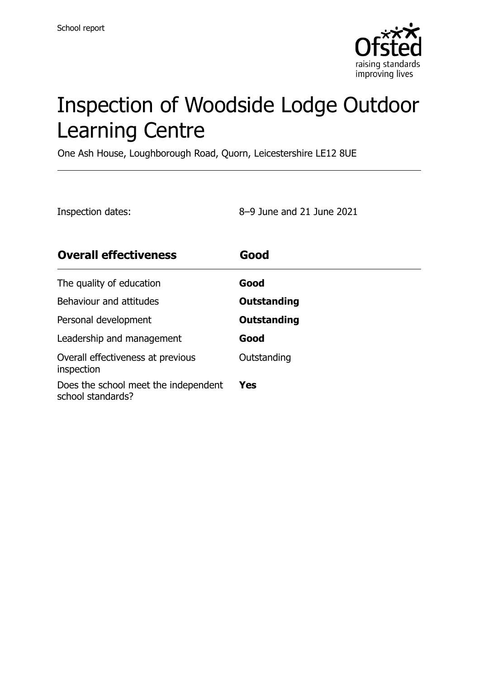

# Inspection of Woodside Lodge Outdoor Learning Centre

One Ash House, Loughborough Road, Quorn, Leicestershire LE12 8UE

Inspection dates: 8–9 June and 21 June 2021

| <b>Overall effectiveness</b>                              | Good               |
|-----------------------------------------------------------|--------------------|
| The quality of education                                  | Good               |
| Behaviour and attitudes                                   | <b>Outstanding</b> |
| Personal development                                      | Outstanding        |
| Leadership and management                                 | Good               |
| Overall effectiveness at previous<br>inspection           | Outstanding        |
| Does the school meet the independent<br>school standards? | Yes                |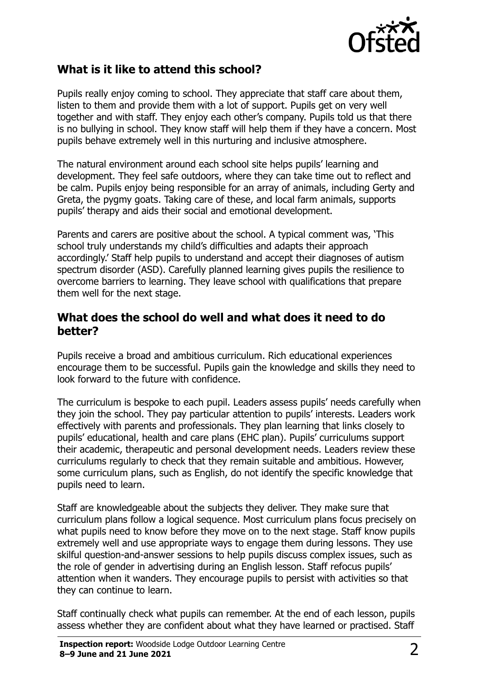

#### **What is it like to attend this school?**

Pupils really enjoy coming to school. They appreciate that staff care about them, listen to them and provide them with a lot of support. Pupils get on very well together and with staff. They enjoy each other's company. Pupils told us that there is no bullying in school. They know staff will help them if they have a concern. Most pupils behave extremely well in this nurturing and inclusive atmosphere.

The natural environment around each school site helps pupils' learning and development. They feel safe outdoors, where they can take time out to reflect and be calm. Pupils enjoy being responsible for an array of animals, including Gerty and Greta, the pygmy goats. Taking care of these, and local farm animals, supports pupils' therapy and aids their social and emotional development.

Parents and carers are positive about the school. A typical comment was, 'This school truly understands my child's difficulties and adapts their approach accordingly.' Staff help pupils to understand and accept their diagnoses of autism spectrum disorder (ASD). Carefully planned learning gives pupils the resilience to overcome barriers to learning. They leave school with qualifications that prepare them well for the next stage.

#### **What does the school do well and what does it need to do better?**

Pupils receive a broad and ambitious curriculum. Rich educational experiences encourage them to be successful. Pupils gain the knowledge and skills they need to look forward to the future with confidence.

The curriculum is bespoke to each pupil. Leaders assess pupils' needs carefully when they join the school. They pay particular attention to pupils' interests. Leaders work effectively with parents and professionals. They plan learning that links closely to pupils' educational, health and care plans (EHC plan). Pupils' curriculums support their academic, therapeutic and personal development needs. Leaders review these curriculums regularly to check that they remain suitable and ambitious. However, some curriculum plans, such as English, do not identify the specific knowledge that pupils need to learn.

Staff are knowledgeable about the subjects they deliver. They make sure that curriculum plans follow a logical sequence. Most curriculum plans focus precisely on what pupils need to know before they move on to the next stage. Staff know pupils extremely well and use appropriate ways to engage them during lessons. They use skilful question-and-answer sessions to help pupils discuss complex issues, such as the role of gender in advertising during an English lesson. Staff refocus pupils' attention when it wanders. They encourage pupils to persist with activities so that they can continue to learn.

Staff continually check what pupils can remember. At the end of each lesson, pupils assess whether they are confident about what they have learned or practised. Staff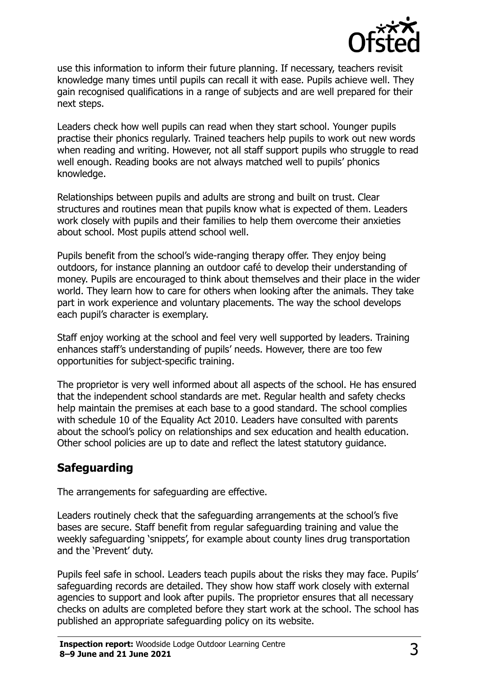

use this information to inform their future planning. If necessary, teachers revisit knowledge many times until pupils can recall it with ease. Pupils achieve well. They gain recognised qualifications in a range of subjects and are well prepared for their next steps.

Leaders check how well pupils can read when they start school. Younger pupils practise their phonics regularly. Trained teachers help pupils to work out new words when reading and writing. However, not all staff support pupils who struggle to read well enough. Reading books are not always matched well to pupils' phonics knowledge.

Relationships between pupils and adults are strong and built on trust. Clear structures and routines mean that pupils know what is expected of them. Leaders work closely with pupils and their families to help them overcome their anxieties about school. Most pupils attend school well.

Pupils benefit from the school's wide-ranging therapy offer. They enjoy being outdoors, for instance planning an outdoor café to develop their understanding of money. Pupils are encouraged to think about themselves and their place in the wider world. They learn how to care for others when looking after the animals. They take part in work experience and voluntary placements. The way the school develops each pupil's character is exemplary.

Staff enjoy working at the school and feel very well supported by leaders. Training enhances staff's understanding of pupils' needs. However, there are too few opportunities for subject-specific training.

The proprietor is very well informed about all aspects of the school. He has ensured that the independent school standards are met. Regular health and safety checks help maintain the premises at each base to a good standard. The school complies with schedule 10 of the Equality Act 2010. Leaders have consulted with parents about the school's policy on relationships and sex education and health education. Other school policies are up to date and reflect the latest statutory guidance.

#### **Safeguarding**

The arrangements for safeguarding are effective.

Leaders routinely check that the safeguarding arrangements at the school's five bases are secure. Staff benefit from regular safeguarding training and value the weekly safeguarding 'snippets', for example about county lines drug transportation and the 'Prevent' duty.

Pupils feel safe in school. Leaders teach pupils about the risks they may face. Pupils' safeguarding records are detailed. They show how staff work closely with external agencies to support and look after pupils. The proprietor ensures that all necessary checks on adults are completed before they start work at the school. The school has published an appropriate safeguarding policy on its website.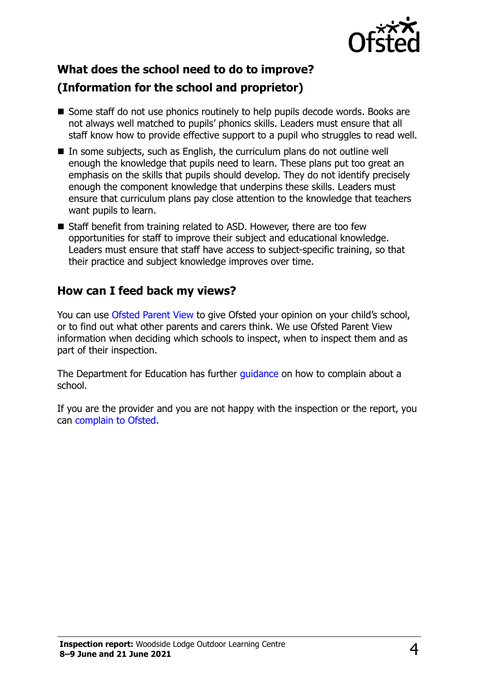

## **What does the school need to do to improve?**

#### **(Information for the school and proprietor)**

- Some staff do not use phonics routinely to help pupils decode words. Books are not always well matched to pupils' phonics skills. Leaders must ensure that all staff know how to provide effective support to a pupil who struggles to read well.
- In some subjects, such as English, the curriculum plans do not outline well enough the knowledge that pupils need to learn. These plans put too great an emphasis on the skills that pupils should develop. They do not identify precisely enough the component knowledge that underpins these skills. Leaders must ensure that curriculum plans pay close attention to the knowledge that teachers want pupils to learn.
- Staff benefit from training related to ASD. However, there are too few opportunities for staff to improve their subject and educational knowledge. Leaders must ensure that staff have access to subject-specific training, so that their practice and subject knowledge improves over time.

#### **How can I feed back my views?**

You can use [Ofsted Parent View](http://parentview.ofsted.gov.uk/) to give Ofsted your opinion on your child's school, or to find out what other parents and carers think. We use Ofsted Parent View information when deciding which schools to inspect, when to inspect them and as part of their inspection.

The Department for Education has further quidance on how to complain about a school.

If you are the provider and you are not happy with the inspection or the report, you can [complain to Ofsted.](http://www.gov.uk/complain-ofsted-report)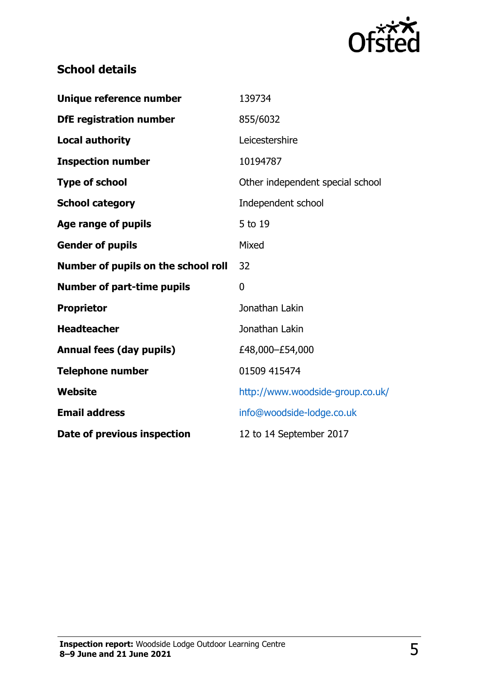

### **School details**

| Unique reference number             | 139734                           |
|-------------------------------------|----------------------------------|
| <b>DfE registration number</b>      | 855/6032                         |
| <b>Local authority</b>              | Leicestershire                   |
| <b>Inspection number</b>            | 10194787                         |
| <b>Type of school</b>               | Other independent special school |
| <b>School category</b>              | Independent school               |
| <b>Age range of pupils</b>          | 5 to 19                          |
| <b>Gender of pupils</b>             | Mixed                            |
| Number of pupils on the school roll | 32                               |
| <b>Number of part-time pupils</b>   | 0                                |
| <b>Proprietor</b>                   | Jonathan Lakin                   |
| <b>Headteacher</b>                  | Jonathan Lakin                   |
| <b>Annual fees (day pupils)</b>     | £48,000-£54,000                  |
| <b>Telephone number</b>             | 01509 415474                     |
| Website                             | http://www.woodside-group.co.uk/ |
| <b>Email address</b>                | info@woodside-lodge.co.uk        |
| Date of previous inspection         | 12 to 14 September 2017          |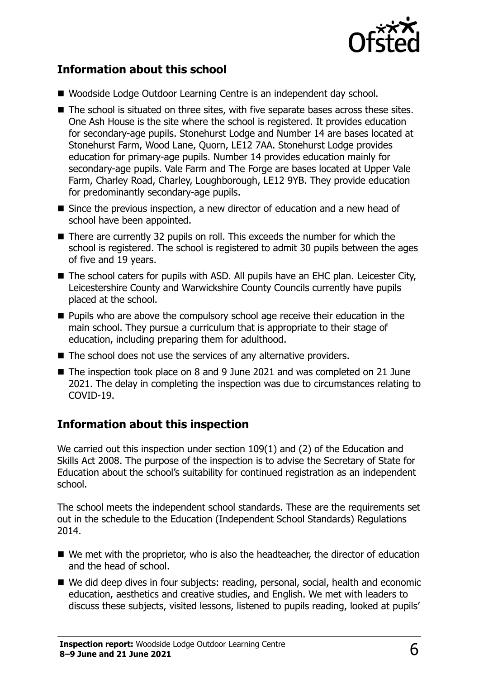

#### **Information about this school**

- Woodside Lodge Outdoor Learning Centre is an independent day school.
- The school is situated on three sites, with five separate bases across these sites. One Ash House is the site where the school is registered. It provides education for secondary-age pupils. Stonehurst Lodge and Number 14 are bases located at Stonehurst Farm, Wood Lane, Quorn, LE12 7AA. Stonehurst Lodge provides education for primary-age pupils. Number 14 provides education mainly for secondary-age pupils. Vale Farm and The Forge are bases located at Upper Vale Farm, Charley Road, Charley, Loughborough, LE12 9YB. They provide education for predominantly secondary-age pupils.
- Since the previous inspection, a new director of education and a new head of school have been appointed.
- There are currently 32 pupils on roll. This exceeds the number for which the school is registered. The school is registered to admit 30 pupils between the ages of five and 19 years.
- The school caters for pupils with ASD. All pupils have an EHC plan. Leicester City, Leicestershire County and Warwickshire County Councils currently have pupils placed at the school.
- **Pupils who are above the compulsory school age receive their education in the** main school. They pursue a curriculum that is appropriate to their stage of education, including preparing them for adulthood.
- The school does not use the services of any alternative providers.
- The inspection took place on 8 and 9 June 2021 and was completed on 21 June 2021. The delay in completing the inspection was due to circumstances relating to COVID-19.

#### **Information about this inspection**

We carried out this inspection under section 109(1) and (2) of the Education and Skills Act 2008. The purpose of the inspection is to advise the Secretary of State for Education about the school's suitability for continued registration as an independent school.

The school meets the independent school standards. These are the requirements set out in the schedule to the Education (Independent School Standards) Regulations 2014.

- We met with the proprietor, who is also the headteacher, the director of education and the head of school.
- We did deep dives in four subjects: reading, personal, social, health and economic education, aesthetics and creative studies, and English. We met with leaders to discuss these subjects, visited lessons, listened to pupils reading, looked at pupils'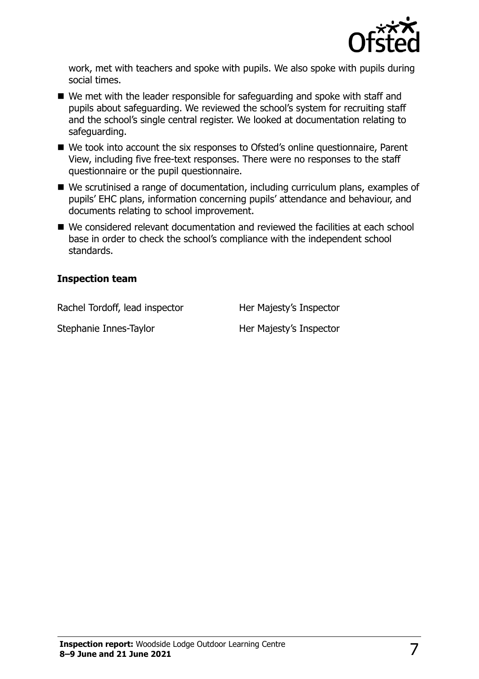

work, met with teachers and spoke with pupils. We also spoke with pupils during social times.

- We met with the leader responsible for safeguarding and spoke with staff and pupils about safeguarding. We reviewed the school's system for recruiting staff and the school's single central register. We looked at documentation relating to safeguarding.
- We took into account the six responses to Ofsted's online questionnaire, Parent View, including five free-text responses. There were no responses to the staff questionnaire or the pupil questionnaire.
- We scrutinised a range of documentation, including curriculum plans, examples of pupils' EHC plans, information concerning pupils' attendance and behaviour, and documents relating to school improvement.
- We considered relevant documentation and reviewed the facilities at each school base in order to check the school's compliance with the independent school standards.

#### **Inspection team**

Rachel Tordoff, lead inspector Her Majesty's Inspector

Stephanie Innes-Taylor **Her Majesty's Inspector**